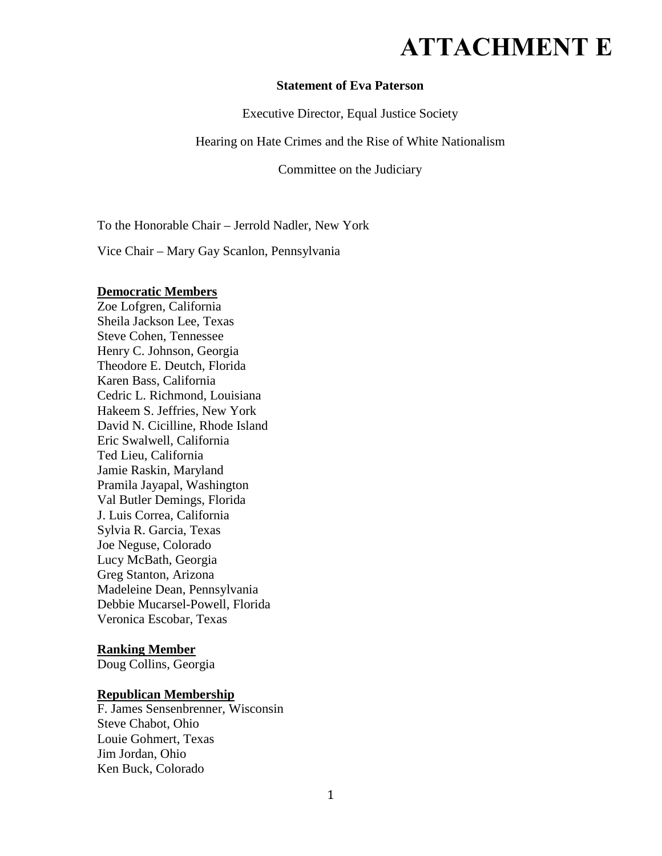# **ATTACHMENT E**

#### **Statement of Eva Paterson**

Executive Director, Equal Justice Society

Hearing on Hate Crimes and the Rise of White Nationalism

Committee on the Judiciary

To the Honorable Chair – Jerrold Nadler, New York

Vice Chair – Mary Gay Scanlon, Pennsylvania

#### **Democratic Members**

Zoe Lofgren, California Sheila Jackson Lee, Texas Steve Cohen, Tennessee Henry C. Johnson, Georgia Theodore E. Deutch, Florida Karen Bass, California Cedric L. Richmond, Louisiana Hakeem S. Jeffries, New York David N. Cicilline, Rhode Island Eric Swalwell, California Ted Lieu, California Jamie Raskin, Maryland Pramila Jayapal, Washington Val Butler Demings, Florida J. Luis Correa, California Sylvia R. Garcia, Texas Joe Neguse, Colorado Lucy McBath, Georgia Greg Stanton, Arizona Madeleine Dean, Pennsylvania Debbie Mucarsel-Powell, Florida Veronica Escobar, Texas

### **Ranking Member**

Doug Collins, Georgia

### **Republican Membership**

F. James Sensenbrenner, Wisconsin Steve Chabot, Ohio Louie Gohmert, Texas Jim Jordan, Ohio Ken Buck, Colorado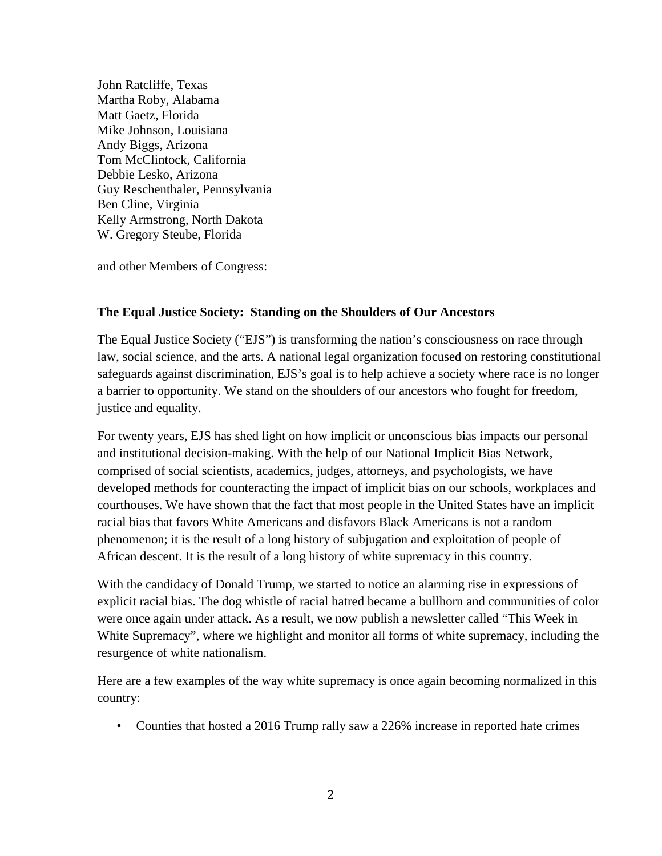John Ratcliffe, Texas Martha Roby, Alabama Matt Gaetz, Florida Mike Johnson, Louisiana Andy Biggs, Arizona Tom McClintock, California Debbie Lesko, Arizona Guy Reschenthaler, Pennsylvania Ben Cline, Virginia Kelly Armstrong, North Dakota W. Gregory Steube, Florida

and other Members of Congress:

### **The Equal Justice Society: Standing on the Shoulders of Our Ancestors**

The Equal Justice Society ("EJS") is transforming the nation's consciousness on race through law, social science, and the arts. A national legal organization focused on restoring constitutional safeguards against discrimination, EJS's goal is to help achieve a society where race is no longer a barrier to opportunity. We stand on the shoulders of our ancestors who fought for freedom, justice and equality.

For twenty years, EJS has shed light on how implicit or unconscious bias impacts our personal and institutional decision-making. With the help of our National Implicit Bias Network, comprised of social scientists, academics, judges, attorneys, and psychologists, we have developed methods for counteracting the impact of implicit bias on our schools, workplaces and courthouses. We have shown that the fact that most people in the United States have an implicit racial bias that favors White Americans and disfavors Black Americans is not a random phenomenon; it is the result of a long history of subjugation and exploitation of people of African descent. It is the result of a long history of white supremacy in this country.

With the candidacy of Donald Trump, we started to notice an alarming rise in expressions of explicit racial bias. The dog whistle of racial hatred became a bullhorn and communities of color were once again under attack. As a result, we now publish a newsletter called "This Week in White Supremacy", where we highlight and monitor all forms of white supremacy, including the resurgence of white nationalism.

Here are a few examples of the way white supremacy is once again becoming normalized in this country:

• Counties that hosted a 2016 Trump rally saw a 226% increase in reported hate crimes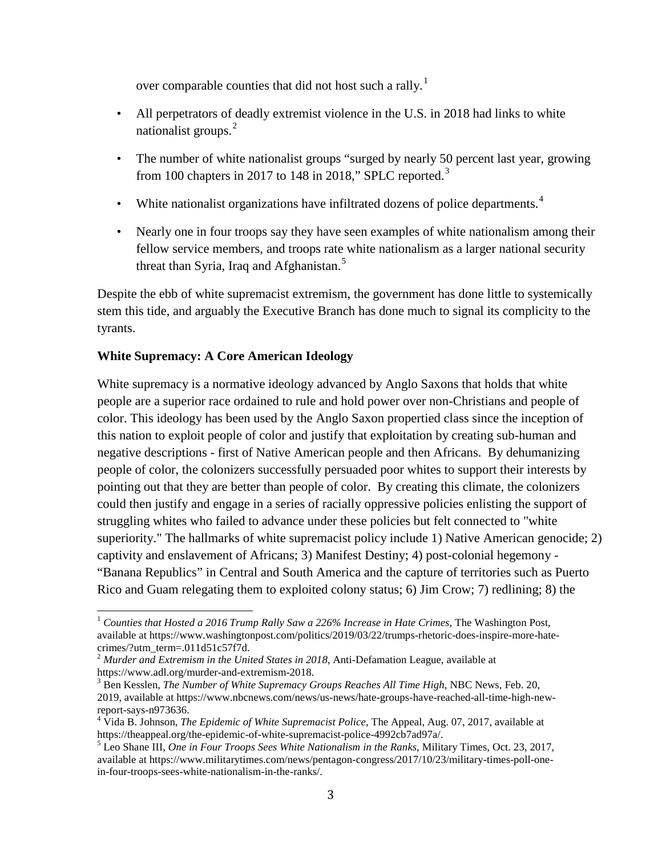over comparable counties that did not host such a rally.<sup>[1](#page-2-0)</sup>

- All perpetrators of deadly extremist violence in the U.S. in 2018 had links to white nationalist groups.<sup>[2](#page-2-1)</sup>
- The number of white nationalist groups "surged by nearly 50 percent last year, growing from 100 chapters in 2017 to 148 in 2018," SPLC reported.<sup>[3](#page-2-2)</sup>
- White nationalist organizations have infiltrated dozens of police departments. $4$
- Nearly one in four troops say they have seen examples of white nationalism among their fellow service members, and troops rate white nationalism as a larger national security threat than Syria, Iraq and Afghanistan.<sup>[5](#page-2-4)</sup>

Despite the ebb of white supremacist extremism, the government has done little to systemically stem this tide, and arguably the Executive Branch has done much to signal its complicity to the tyrants.

## **White Supremacy: A Core American Ideology**

White supremacy is a normative ideology advanced by Anglo Saxons that holds that white people are a superior race ordained to rule and hold power over non-Christians and people of color. This ideology has been used by the Anglo Saxon propertied class since the inception of this nation to exploit people of color and justify that exploitation by creating sub-human and negative descriptions - first of Native American people and then Africans. By dehumanizing people of color, the colonizers successfully persuaded poor whites to support their interests by pointing out that they are better than people of color. By creating this climate, the colonizers could then justify and engage in a series of racially oppressive policies enlisting the support of struggling whites who failed to advance under these policies but felt connected to "white superiority." The hallmarks of white supremacist policy include 1) Native American genocide; 2) captivity and enslavement of Africans; 3) Manifest Destiny; 4) post-colonial hegemony - "Banana Republics" in Central and South America and the capture of territories such as Puerto Rico and Guam relegating them to exploited colony status; 6) Jim Crow; 7) redlining; 8) the

<span id="page-2-0"></span><sup>1</sup> *Counties that Hosted a 2016 Trump Rally Saw a 226% Increase in Hate Crimes*, The Washington Post, available at https://www.washingtonpost.com/politics/2019/03/22/trumps-rhetoric-does-inspire-more-hatecrimes/?utm\_term=.011d51c57f7d.

<span id="page-2-1"></span><sup>&</sup>lt;sup>2</sup> *Murder and Extremism in the United States in 2018*, Anti-Defamation League, available at https://www.adl.org/murder-and-extremism-2018.

<span id="page-2-2"></span><sup>&</sup>lt;sup>3</sup> Ben Kesslen, *The Number of White Supremacy Groups Reaches All Time High*, NBC News, Feb. 20, 2019, available at https://www.nbcnews.com/news/us-news/hate-groups-have-reached-all-time-high-newreport-says-n973636.<br><sup>4</sup> Vida B. Johnson, *The Epidemic of White Supremacist Police*, The Appeal, Aug. 07, 2017, available at

<span id="page-2-3"></span>https://theappeal.org/the-epidemic-of-white-supremacist-police-4992cb7ad97a/. 5 Leo Shane III, *One in Four Troops Sees White Nationalism in the Ranks*, Military Times, Oct. 23, 2017,

<span id="page-2-4"></span>available at https://www.militarytimes.com/news/pentagon-congress/2017/10/23/military-times-poll-onein-four-troops-sees-white-nationalism-in-the-ranks/.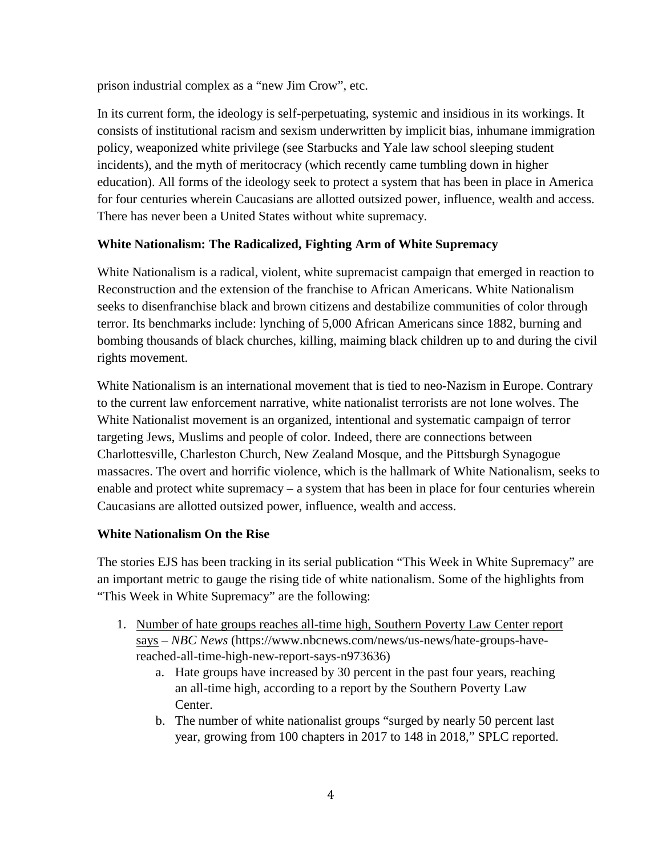prison industrial complex as a "new Jim Crow", etc.

In its current form, the ideology is self-perpetuating, systemic and insidious in its workings. It consists of institutional racism and sexism underwritten by implicit bias, inhumane immigration policy, weaponized white privilege (see Starbucks and Yale law school sleeping student incidents), and the myth of meritocracy (which recently came tumbling down in higher education). All forms of the ideology seek to protect a system that has been in place in America for four centuries wherein Caucasians are allotted outsized power, influence, wealth and access. There has never been a United States without white supremacy.

## **White Nationalism: The Radicalized, Fighting Arm of White Supremacy**

White Nationalism is a radical, violent, white supremacist campaign that emerged in reaction to Reconstruction and the extension of the franchise to African Americans. White Nationalism seeks to disenfranchise black and brown citizens and destabilize communities of color through terror. Its benchmarks include: lynching of 5,000 African Americans since 1882, burning and bombing thousands of black churches, killing, maiming black children up to and during the civil rights movement.

White Nationalism is an international movement that is tied to neo-Nazism in Europe. Contrary to the current law enforcement narrative, white nationalist terrorists are not lone wolves. The White Nationalist movement is an organized, intentional and systematic campaign of terror targeting Jews, Muslims and people of color. Indeed, there are connections between Charlottesville, Charleston Church, New Zealand Mosque, and the Pittsburgh Synagogue massacres. The overt and horrific violence, which is the hallmark of White Nationalism, seeks to enable and protect white supremacy – a system that has been in place for four centuries wherein Caucasians are allotted outsized power, influence, wealth and access.

## **White Nationalism On the Rise**

The stories EJS has been tracking in its serial publication "This Week in White Supremacy" are an important metric to gauge the rising tide of white nationalism. Some of the highlights from "This Week in White Supremacy" are the following:

- 1. Number of hate groups reaches all-time high, Southern Poverty Law Center report says – *NBC News* (https://www.nbcnews.com/news/us-news/hate-groups-havereached-all-time-high-new-report-says-n973636)
	- a. Hate groups have increased by 30 percent in the past four years, reaching an all-time high, according to a report by the Southern Poverty Law Center.
	- b. The number of white nationalist groups "surged by nearly 50 percent last year, growing from 100 chapters in 2017 to 148 in 2018," SPLC reported.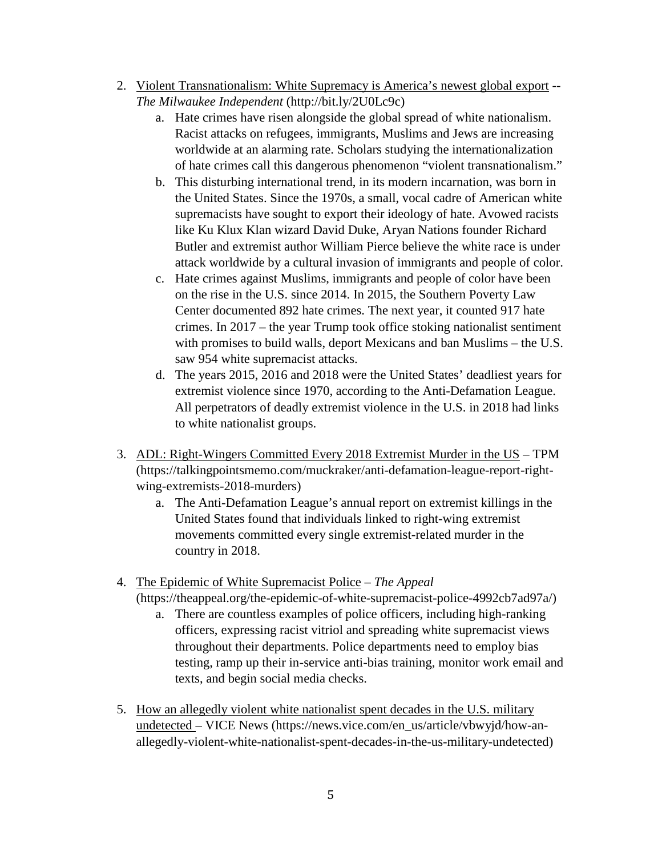- 2. Violent Transnationalism: White Supremacy is America's newest global export -- *The Milwaukee Independent* (http://bit.ly/2U0Lc9c)
	- a. Hate crimes have risen alongside the global spread of white nationalism. Racist attacks on refugees, immigrants, Muslims and Jews are increasing worldwide at an alarming rate. Scholars studying the internationalization of hate crimes call this dangerous phenomenon "violent transnationalism."
	- b. This disturbing international trend, in its modern incarnation, was born in the United States. Since the 1970s, a small, vocal cadre of American white supremacists have sought to export their ideology of hate. Avowed racists like Ku Klux Klan wizard David Duke, Aryan Nations founder Richard Butler and extremist author William Pierce believe the white race is under attack worldwide by a cultural invasion of immigrants and people of color.
	- c. Hate crimes against Muslims, immigrants and people of color have been on the rise in the U.S. since 2014. In 2015, the Southern Poverty Law Center documented 892 hate crimes. The next year, it counted 917 hate crimes. In 2017 – the year Trump took office stoking nationalist sentiment with promises to build walls, deport Mexicans and ban Muslims – the U.S. saw 954 white supremacist attacks.
	- d. The years 2015, 2016 and 2018 were the United States' deadliest years for extremist violence since 1970, according to the Anti-Defamation League. All perpetrators of deadly extremist violence in the U.S. in 2018 had links to white nationalist groups.
- 3. ADL: Right-Wingers Committed Every 2018 Extremist Murder in the US TPM (https://talkingpointsmemo.com/muckraker/anti-defamation-league-report-rightwing-extremists-2018-murders)
	- a. The Anti-Defamation League's annual report on extremist killings in the United States found that individuals linked to right-wing extremist movements committed every single extremist-related murder in the country in 2018.
- 4. The Epidemic of White Supremacist Police *The Appeal* (https://theappeal.org/the-epidemic-of-white-supremacist-police-4992cb7ad97a/)
	- a. There are countless examples of police officers, including high-ranking officers, expressing racist vitriol and spreading white supremacist views throughout their departments. Police departments need to employ bias testing, ramp up their in-service anti-bias training, monitor work email and texts, and begin social media checks.
- 5. How an allegedly violent white nationalist spent decades in the U.S. military undetected – VICE News (https://news.vice.com/en\_us/article/vbwyjd/how-anallegedly-violent-white-nationalist-spent-decades-in-the-us-military-undetected)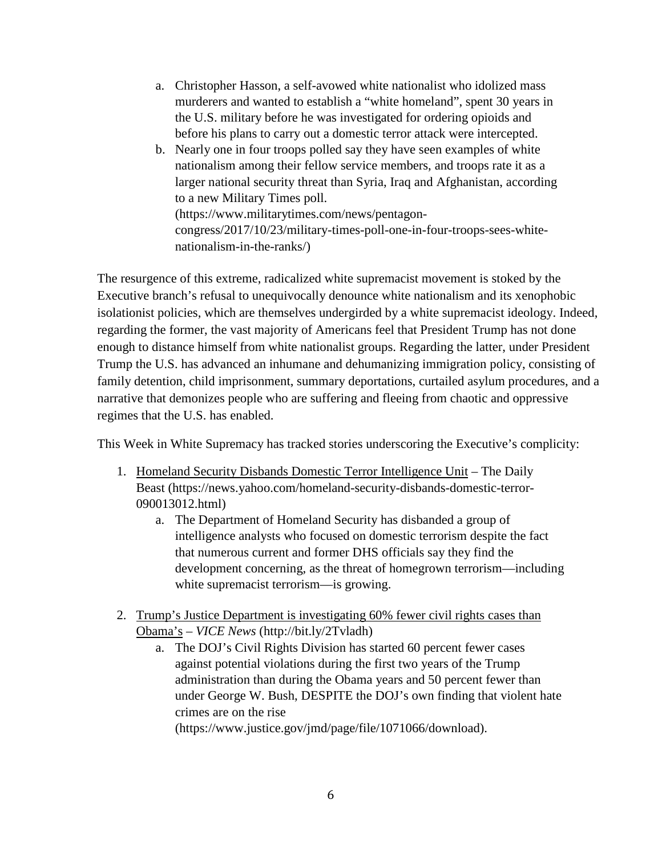- a. Christopher Hasson, a self-avowed white nationalist who idolized mass murderers and wanted to establish a "white homeland", spent 30 years in the U.S. military before he was investigated for ordering opioids and before his plans to carry out a domestic terror attack were intercepted.
- b. Nearly one in four troops polled say they have seen examples of white nationalism among their fellow service members, and troops rate it as a larger national security threat than Syria, Iraq and Afghanistan, according to a new Military Times poll. (https://www.militarytimes.com/news/pentagoncongress/2017/10/23/military-times-poll-one-in-four-troops-sees-whitenationalism-in-the-ranks/)

The resurgence of this extreme, radicalized white supremacist movement is stoked by the Executive branch's refusal to unequivocally denounce white nationalism and its xenophobic isolationist policies, which are themselves undergirded by a white supremacist ideology. Indeed, regarding the former, the vast majority of Americans feel that President Trump has not done enough to distance himself from white nationalist groups. Regarding the latter, under President Trump the U.S. has advanced an inhumane and dehumanizing immigration policy, consisting of family detention, child imprisonment, summary deportations, curtailed asylum procedures, and a narrative that demonizes people who are suffering and fleeing from chaotic and oppressive regimes that the U.S. has enabled.

This Week in White Supremacy has tracked stories underscoring the Executive's complicity:

- 1. Homeland Security Disbands Domestic Terror Intelligence Unit The Daily Beast (https://news.yahoo.com/homeland-security-disbands-domestic-terror-090013012.html)
	- a. The Department of Homeland Security has disbanded a group of intelligence analysts who focused on domestic terrorism despite the fact that numerous current and former DHS officials say they find the development concerning, as the threat of homegrown terrorism—including white supremacist terrorism—is growing.
- 2. Trump's Justice Department is investigating 60% fewer civil rights cases than Obama's – *VICE News* (http://bit.ly/2Tvladh)
	- a. The DOJ's Civil Rights Division has started 60 percent fewer cases against potential violations during the first two years of the Trump administration than during the Obama years and 50 percent fewer than under George W. Bush, DESPITE the DOJ's own finding that violent hate crimes are on the rise (https://www.justice.gov/jmd/page/file/1071066/download).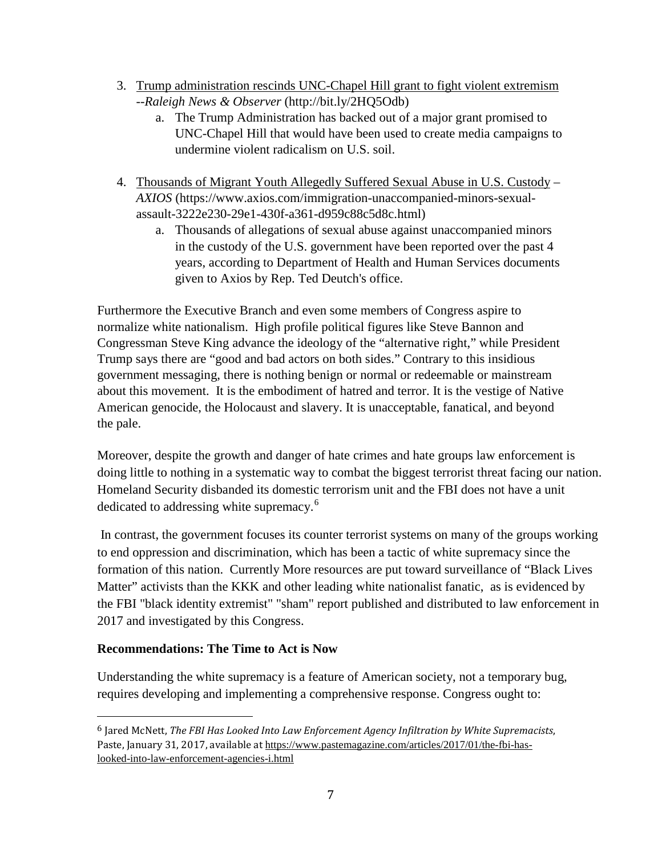- 3. Trump administration rescinds UNC-Chapel Hill grant to fight violent extremism --*Raleigh News & Observer* (http://bit.ly/2HQ5Odb)
	- a. The Trump Administration has backed out of a major grant promised to UNC-Chapel Hill that would have been used to create media campaigns to undermine violent radicalism on U.S. soil.
- 4. Thousands of Migrant Youth Allegedly Suffered Sexual Abuse in U.S. Custody *AXIOS* (https://www.axios.com/immigration-unaccompanied-minors-sexualassault-3222e230-29e1-430f-a361-d959c88c5d8c.html)
	- a. Thousands of allegations of sexual abuse against unaccompanied minors in the custody of the U.S. government have been reported over the past 4 years, according to Department of Health and Human Services documents given to Axios by Rep. Ted Deutch's office.

Furthermore the Executive Branch and even some members of Congress aspire to normalize white nationalism. High profile political figures like Steve Bannon and Congressman Steve King advance the ideology of the "alternative right," while President Trump says there are "good and bad actors on both sides." Contrary to this insidious government messaging, there is nothing benign or normal or redeemable or mainstream about this movement. It is the embodiment of hatred and terror. It is the vestige of Native American genocide, the Holocaust and slavery. It is unacceptable, fanatical, and beyond the pale.

Moreover, despite the growth and danger of hate crimes and hate groups law enforcement is doing little to nothing in a systematic way to combat the biggest terrorist threat facing our nation. Homeland Security disbanded its domestic terrorism unit and the FBI does not have a unit dedicated to addressing white supremacy.<sup>[6](#page-6-0)</sup>

In contrast, the government focuses its counter terrorist systems on many of the groups working to end oppression and discrimination, which has been a tactic of white supremacy since the formation of this nation. Currently More resources are put toward surveillance of "Black Lives Matter" activists than the KKK and other leading white nationalist fanatic, as is evidenced by the FBI "black identity extremist" "sham" report published and distributed to law enforcement in 2017 and investigated by this Congress.

## **Recommendations: The Time to Act is Now**

Understanding the white supremacy is a feature of American society, not a temporary bug, requires developing and implementing a comprehensive response. Congress ought to:

<span id="page-6-0"></span> <sup>6</sup> Jared McNett, *The FBI Has Looked Into Law Enforcement Agency Infiltration by White Supremacists*, Paste, January 31, 2017, available at [https://www.pastemagazine.com/articles/2017/01/the-fbi-has](https://www.pastemagazine.com/articles/2017/01/the-fbi-has-looked-into-law-enforcement-agencies-i.html)[looked-into-law-enforcement-agencies-i.html](https://www.pastemagazine.com/articles/2017/01/the-fbi-has-looked-into-law-enforcement-agencies-i.html)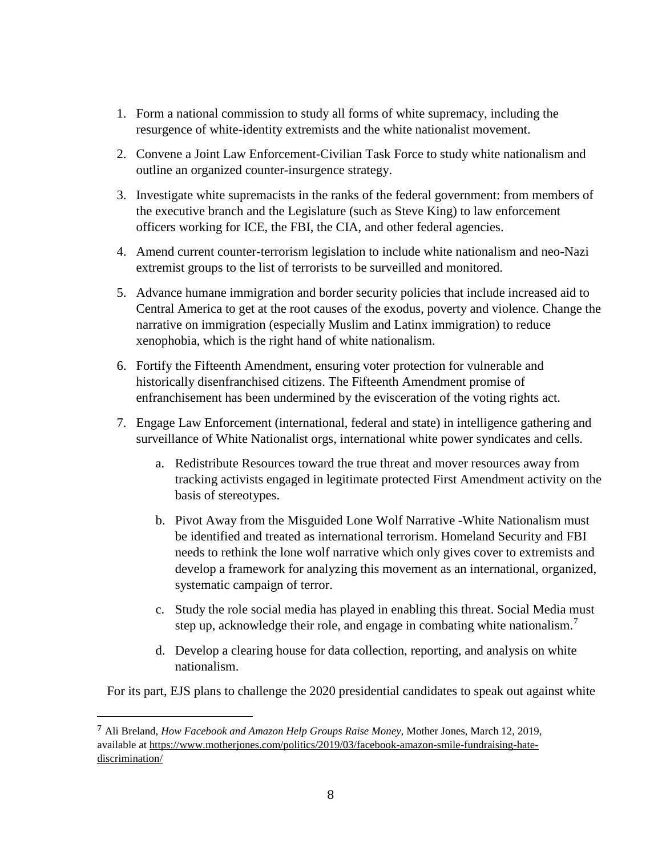- 1. Form a national commission to study all forms of white supremacy, including the resurgence of white-identity extremists and the white nationalist movement.
- 2. Convene a Joint Law Enforcement-Civilian Task Force to study white nationalism and outline an organized counter-insurgence strategy.
- 3. Investigate white supremacists in the ranks of the federal government: from members of the executive branch and the Legislature (such as Steve King) to law enforcement officers working for ICE, the FBI, the CIA, and other federal agencies.
- 4. Amend current counter-terrorism legislation to include white nationalism and neo-Nazi extremist groups to the list of terrorists to be surveilled and monitored.
- 5. Advance humane immigration and border security policies that include increased aid to Central America to get at the root causes of the exodus, poverty and violence. Change the narrative on immigration (especially Muslim and Latinx immigration) to reduce xenophobia, which is the right hand of white nationalism.
- 6. Fortify the Fifteenth Amendment, ensuring voter protection for vulnerable and historically disenfranchised citizens. The Fifteenth Amendment promise of enfranchisement has been undermined by the evisceration of the voting rights act.
- 7. Engage Law Enforcement (international, federal and state) in intelligence gathering and surveillance of White Nationalist orgs, international white power syndicates and cells.
	- a. Redistribute Resources toward the true threat and mover resources away from tracking activists engaged in legitimate protected First Amendment activity on the basis of stereotypes.
	- b. Pivot Away from the Misguided Lone Wolf Narrative -White Nationalism must be identified and treated as international terrorism. Homeland Security and FBI needs to rethink the lone wolf narrative which only gives cover to extremists and develop a framework for analyzing this movement as an international, organized, systematic campaign of terror.
	- c. Study the role social media has played in enabling this threat. Social Media must step up, acknowledge their role, and engage in combating white nationalism.<sup>[7](#page-7-0)</sup>
	- d. Develop a clearing house for data collection, reporting, and analysis on white nationalism.

For its part, EJS plans to challenge the 2020 presidential candidates to speak out against white

<span id="page-7-0"></span> <sup>7</sup> Ali Breland, *How Facebook and Amazon Help Groups Raise Money*, Mother Jones, March 12, 2019, available at [https://www.motherjones.com/politics/2019/03/facebook-amazon-smile-fundraising-hate](https://www.motherjones.com/politics/2019/03/facebook-amazon-smile-fundraising-hate-discrimination/)[discrimination/](https://www.motherjones.com/politics/2019/03/facebook-amazon-smile-fundraising-hate-discrimination/)